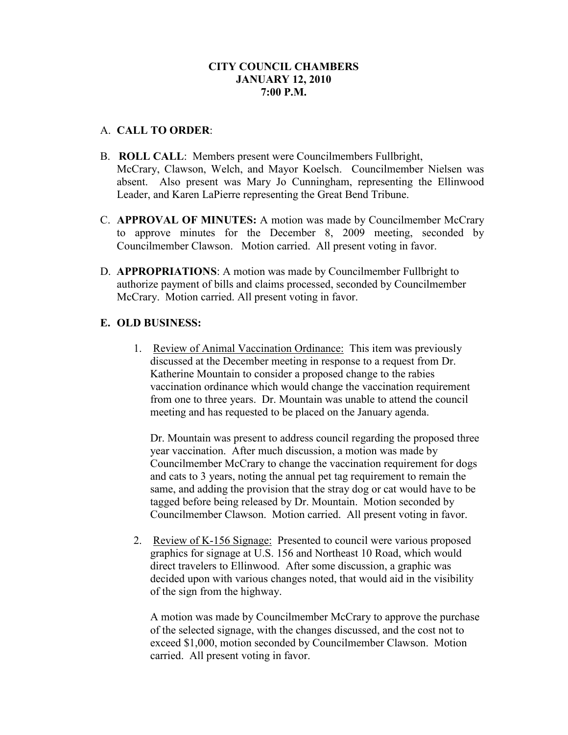# **CITY COUNCIL CHAMBERS JANUARY 12, 2010 7:00 P.M.**

### A. **CALL TO ORDER**:

- B. **ROLL CALL**: Members present were Councilmembers Fullbright, McCrary, Clawson, Welch, and Mayor Koelsch. Councilmember Nielsen was absent. Also present was Mary Jo Cunningham, representing the Ellinwood Leader, and Karen LaPierre representing the Great Bend Tribune.
- C. **APPROVAL OF MINUTES:** A motion was made by Councilmember McCrary to approve minutes for the December 8, 2009 meeting, seconded by Councilmember Clawson. Motion carried. All present voting in favor.
- D. **APPROPRIATIONS**: A motion was made by Councilmember Fullbright to authorize payment of bills and claims processed, seconded by Councilmember McCrary. Motion carried. All present voting in favor.

## **E. OLD BUSINESS:**

1. Review of Animal Vaccination Ordinance: This item was previously discussed at the December meeting in response to a request from Dr. Katherine Mountain to consider a proposed change to the rabies vaccination ordinance which would change the vaccination requirement from one to three years. Dr. Mountain was unable to attend the council meeting and has requested to be placed on the January agenda.

Dr. Mountain was present to address council regarding the proposed three year vaccination. After much discussion, a motion was made by Councilmember McCrary to change the vaccination requirement for dogs and cats to 3 years, noting the annual pet tag requirement to remain the same, and adding the provision that the stray dog or cat would have to be tagged before being released by Dr. Mountain. Motion seconded by Councilmember Clawson. Motion carried. All present voting in favor.

2. Review of K-156 Signage: Presented to council were various proposed graphics for signage at U.S. 156 and Northeast 10 Road, which would direct travelers to Ellinwood. After some discussion, a graphic was decided upon with various changes noted, that would aid in the visibility of the sign from the highway.

A motion was made by Councilmember McCrary to approve the purchase of the selected signage, with the changes discussed, and the cost not to exceed \$1,000, motion seconded by Councilmember Clawson. Motion carried. All present voting in favor.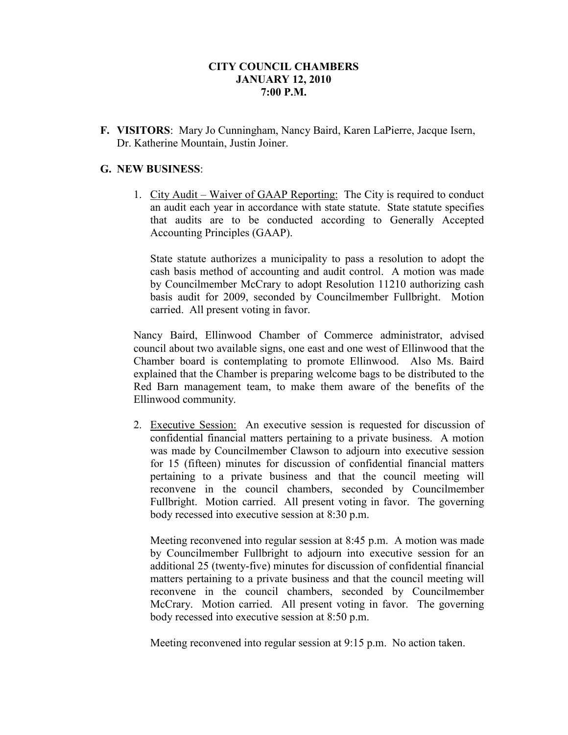## **CITY COUNCIL CHAMBERS JANUARY 12, 2010 7:00 P.M.**

**F. VISITORS**: Mary Jo Cunningham, Nancy Baird, Karen LaPierre, Jacque Isern, Dr. Katherine Mountain, Justin Joiner.

## **G. NEW BUSINESS**:

1. City Audit – Waiver of GAAP Reporting: The City is required to conduct an audit each year in accordance with state statute. State statute specifies that audits are to be conducted according to Generally Accepted Accounting Principles (GAAP).

State statute authorizes a municipality to pass a resolution to adopt the cash basis method of accounting and audit control. A motion was made by Councilmember McCrary to adopt Resolution 11210 authorizing cash basis audit for 2009, seconded by Councilmember Fullbright. Motion carried. All present voting in favor.

Nancy Baird, Ellinwood Chamber of Commerce administrator, advised council about two available signs, one east and one west of Ellinwood that the Chamber board is contemplating to promote Ellinwood. Also Ms. Baird explained that the Chamber is preparing welcome bags to be distributed to the Red Barn management team, to make them aware of the benefits of the Ellinwood community.

2. Executive Session: An executive session is requested for discussion of confidential financial matters pertaining to a private business. A motion was made by Councilmember Clawson to adjourn into executive session for 15 (fifteen) minutes for discussion of confidential financial matters pertaining to a private business and that the council meeting will reconvene in the council chambers, seconded by Councilmember Fullbright. Motion carried. All present voting in favor. The governing body recessed into executive session at 8:30 p.m.

Meeting reconvened into regular session at 8:45 p.m. A motion was made by Councilmember Fullbright to adjourn into executive session for an additional 25 (twenty-five) minutes for discussion of confidential financial matters pertaining to a private business and that the council meeting will reconvene in the council chambers, seconded by Councilmember McCrary. Motion carried. All present voting in favor. The governing body recessed into executive session at 8:50 p.m.

Meeting reconvened into regular session at 9:15 p.m. No action taken.